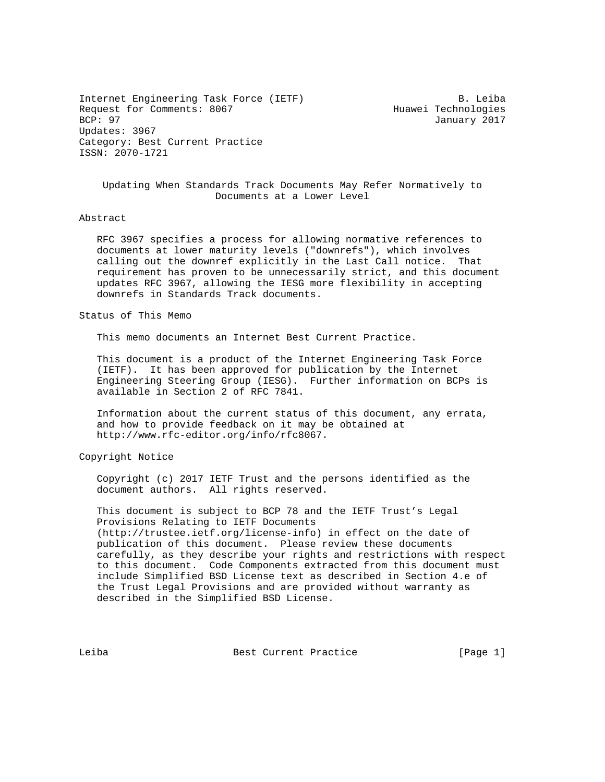Internet Engineering Task Force (IETF) B. Leiba Request for Comments: 8067 For the May Huawei Technologies<br>BCP: 97 For the May 2017 Updates: 3967 Category: Best Current Practice ISSN: 2070-1721

January 2017

 Updating When Standards Track Documents May Refer Normatively to Documents at a Lower Level

## Abstract

 RFC 3967 specifies a process for allowing normative references to documents at lower maturity levels ("downrefs"), which involves calling out the downref explicitly in the Last Call notice. That requirement has proven to be unnecessarily strict, and this document updates RFC 3967, allowing the IESG more flexibility in accepting downrefs in Standards Track documents.

## Status of This Memo

This memo documents an Internet Best Current Practice.

 This document is a product of the Internet Engineering Task Force (IETF). It has been approved for publication by the Internet Engineering Steering Group (IESG). Further information on BCPs is available in Section 2 of RFC 7841.

 Information about the current status of this document, any errata, and how to provide feedback on it may be obtained at http://www.rfc-editor.org/info/rfc8067.

## Copyright Notice

 Copyright (c) 2017 IETF Trust and the persons identified as the document authors. All rights reserved.

 This document is subject to BCP 78 and the IETF Trust's Legal Provisions Relating to IETF Documents (http://trustee.ietf.org/license-info) in effect on the date of publication of this document. Please review these documents carefully, as they describe your rights and restrictions with respect to this document. Code Components extracted from this document must include Simplified BSD License text as described in Section 4.e of the Trust Legal Provisions and are provided without warranty as described in the Simplified BSD License.

Leiba Best Current Practice [Page 1]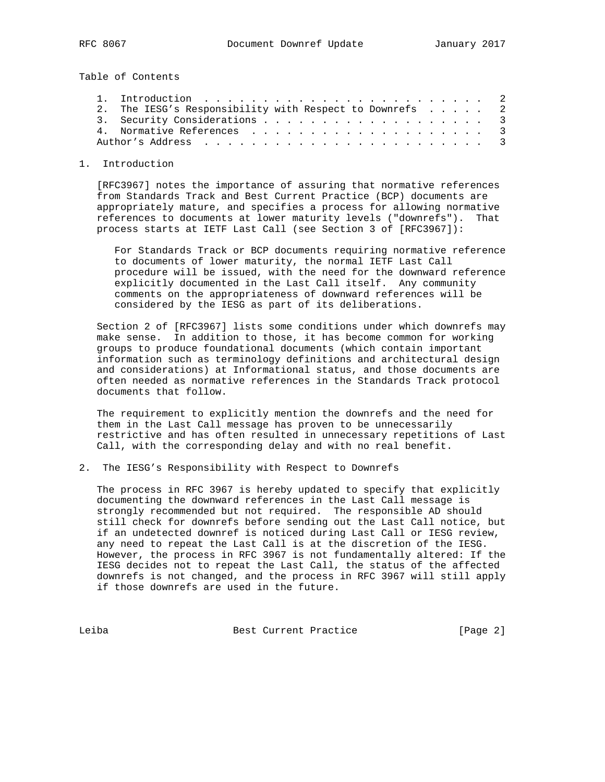Table of Contents

|  | 2. The IESG's Responsibility with Respect to Downrefs 2 |  |
|--|---------------------------------------------------------|--|
|  |                                                         |  |
|  |                                                         |  |
|  |                                                         |  |

## 1. Introduction

 [RFC3967] notes the importance of assuring that normative references from Standards Track and Best Current Practice (BCP) documents are appropriately mature, and specifies a process for allowing normative references to documents at lower maturity levels ("downrefs"). That process starts at IETF Last Call (see Section 3 of [RFC3967]):

 For Standards Track or BCP documents requiring normative reference to documents of lower maturity, the normal IETF Last Call procedure will be issued, with the need for the downward reference explicitly documented in the Last Call itself. Any community comments on the appropriateness of downward references will be considered by the IESG as part of its deliberations.

 Section 2 of [RFC3967] lists some conditions under which downrefs may make sense. In addition to those, it has become common for working groups to produce foundational documents (which contain important information such as terminology definitions and architectural design and considerations) at Informational status, and those documents are often needed as normative references in the Standards Track protocol documents that follow.

 The requirement to explicitly mention the downrefs and the need for them in the Last Call message has proven to be unnecessarily restrictive and has often resulted in unnecessary repetitions of Last Call, with the corresponding delay and with no real benefit.

2. The IESG's Responsibility with Respect to Downrefs

 The process in RFC 3967 is hereby updated to specify that explicitly documenting the downward references in the Last Call message is strongly recommended but not required. The responsible AD should still check for downrefs before sending out the Last Call notice, but if an undetected downref is noticed during Last Call or IESG review, any need to repeat the Last Call is at the discretion of the IESG. However, the process in RFC 3967 is not fundamentally altered: If the IESG decides not to repeat the Last Call, the status of the affected downrefs is not changed, and the process in RFC 3967 will still apply if those downrefs are used in the future.

Leiba Best Current Practice [Page 2]